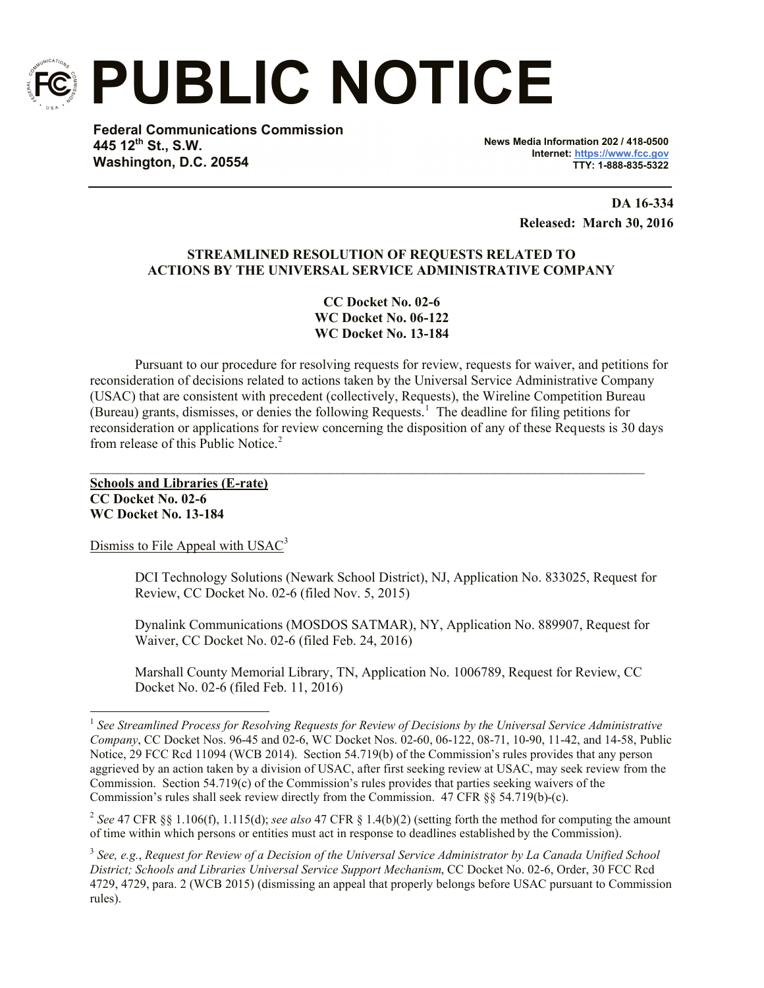

**PUBLIC NOTICE**

**Federal Communications Commission 445 12th St., S.W. Washington, D.C. 20554**

**News Media Information 202 / 418-0500 Internet: https://www.fcc.gov TTY: 1-888-835-5322**

> **DA 16-334 Released: March 30, 2016**

# **STREAMLINED RESOLUTION OF REQUESTS RELATED TO ACTIONS BY THE UNIVERSAL SERVICE ADMINISTRATIVE COMPANY**

**CC Docket No. 02-6 WC Docket No. 06-122 WC Docket No. 13-184**

Pursuant to our procedure for resolving requests for review, requests for waiver, and petitions for reconsideration of decisions related to actions taken by the Universal Service Administrative Company (USAC) that are consistent with precedent (collectively, Requests), the Wireline Competition Bureau (Bureau) grants, dismisses, or denies the following Requests.<sup>1</sup> The deadline for filing petitions for reconsideration or applications for review concerning the disposition of any of these Requests is 30 days from release of this Public Notice.<sup>2</sup>

 $\mathcal{L}_\mathcal{L} = \{ \mathcal{L}_\mathcal{L} = \{ \mathcal{L}_\mathcal{L} = \{ \mathcal{L}_\mathcal{L} = \{ \mathcal{L}_\mathcal{L} = \{ \mathcal{L}_\mathcal{L} = \{ \mathcal{L}_\mathcal{L} = \{ \mathcal{L}_\mathcal{L} = \{ \mathcal{L}_\mathcal{L} = \{ \mathcal{L}_\mathcal{L} = \{ \mathcal{L}_\mathcal{L} = \{ \mathcal{L}_\mathcal{L} = \{ \mathcal{L}_\mathcal{L} = \{ \mathcal{L}_\mathcal{L} = \{ \mathcal{L}_\mathcal{$ 

**Schools and Libraries (E-rate) CC Docket No. 02-6 WC Docket No. 13-184**

 $\overline{a}$ 

Dismiss to File Appeal with USAC<sup>3</sup>

DCI Technology Solutions (Newark School District), NJ, Application No. 833025, Request for Review, CC Docket No. 02-6 (filed Nov. 5, 2015)

Dynalink Communications (MOSDOS SATMAR), NY, Application No. 889907, Request for Waiver, CC Docket No. 02-6 (filed Feb. 24, 2016)

Marshall County Memorial Library, TN, Application No. 1006789, Request for Review, CC Docket No. 02-6 (filed Feb. 11, 2016)

2 *See* 47 CFR §§ 1.106(f), 1.115(d); *see also* 47 CFR § 1.4(b)(2) (setting forth the method for computing the amount of time within which persons or entities must act in response to deadlines established by the Commission).

3 *See, e.g.*, *Request for Review of a Decision of the Universal Service Administrator by La Canada Unified School District; Schools and Libraries Universal Service Support Mechanism*, CC Docket No. 02-6, Order, 30 FCC Rcd 4729, 4729, para. 2 (WCB 2015) (dismissing an appeal that properly belongs before USAC pursuant to Commission rules).

<sup>&</sup>lt;sup>1</sup> See Streamlined Process for Resolving Requests for Review of Decisions by the Universal Service Administrative *Company*, CC Docket Nos. 96-45 and 02-6, WC Docket Nos. 02-60, 06-122, 08-71, 10-90, 11-42, and 14-58, Public Notice, 29 FCC Rcd 11094 (WCB 2014). Section 54.719(b) of the Commission's rules provides that any person aggrieved by an action taken by a division of USAC, after first seeking review at USAC, may seek review from the Commission. Section 54.719(c) of the Commission's rules provides that parties seeking waivers of the Commission's rules shall seek review directly from the Commission. 47 CFR §§ 54.719(b)-(c).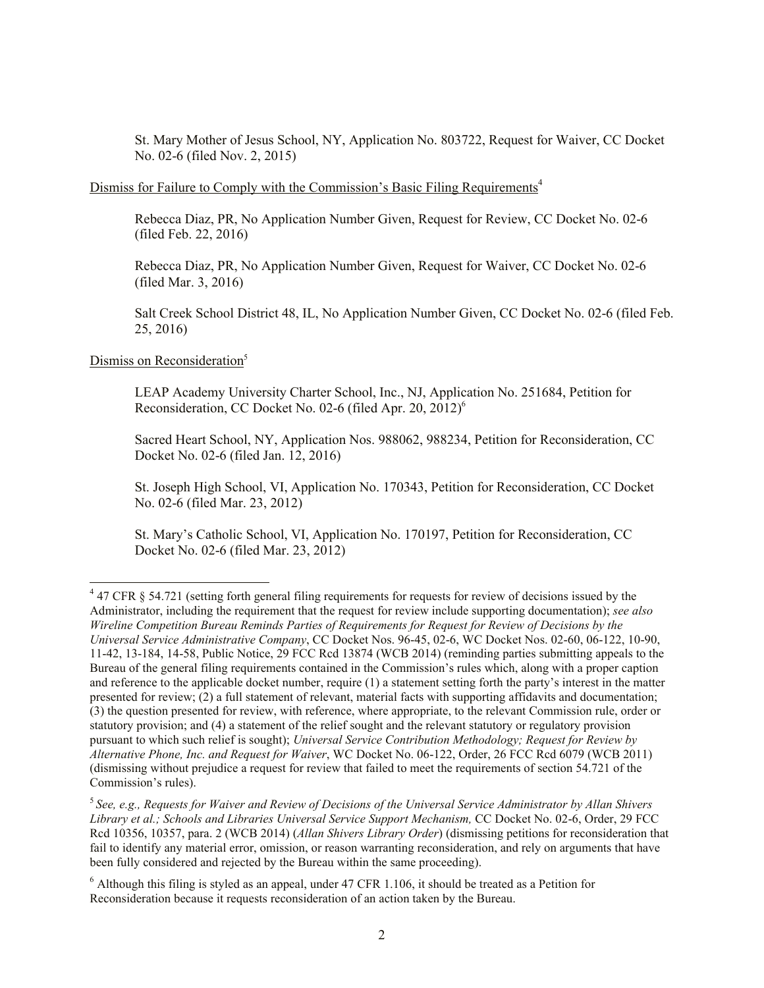St. Mary Mother of Jesus School, NY, Application No. 803722, Request for Waiver, CC Docket No. 02-6 (filed Nov. 2, 2015)

### Dismiss for Failure to Comply with the Commission's Basic Filing Requirements<sup>4</sup>

Rebecca Diaz, PR, No Application Number Given, Request for Review, CC Docket No. 02-6 (filed Feb. 22, 2016)

Rebecca Diaz, PR, No Application Number Given, Request for Waiver, CC Docket No. 02-6 (filed Mar. 3, 2016)

Salt Creek School District 48, IL, No Application Number Given, CC Docket No. 02-6 (filed Feb. 25, 2016)

## Dismiss on Reconsideration<sup>5</sup>

 $\overline{\phantom{a}}$ 

LEAP Academy University Charter School, Inc., NJ, Application No. 251684, Petition for Reconsideration, CC Docket No. 02-6 (filed Apr. 20, 2012)<sup>6</sup>

Sacred Heart School, NY, Application Nos. 988062, 988234, Petition for Reconsideration, CC Docket No. 02-6 (filed Jan. 12, 2016)

St. Joseph High School, VI, Application No. 170343, Petition for Reconsideration, CC Docket No. 02-6 (filed Mar. 23, 2012)

St. Mary's Catholic School, VI, Application No. 170197, Petition for Reconsideration, CC Docket No. 02-6 (filed Mar. 23, 2012)

 $47$  CFR § 54.721 (setting forth general filing requirements for requests for review of decisions issued by the Administrator, including the requirement that the request for review include supporting documentation); *see also Wireline Competition Bureau Reminds Parties of Requirements for Request for Review of Decisions by the Universal Service Administrative Company*, CC Docket Nos. 96-45, 02-6, WC Docket Nos. 02-60, 06-122, 10-90, 11-42, 13-184, 14-58, Public Notice, 29 FCC Rcd 13874 (WCB 2014) (reminding parties submitting appeals to the Bureau of the general filing requirements contained in the Commission's rules which, along with a proper caption and reference to the applicable docket number, require (1) a statement setting forth the party's interest in the matter presented for review; (2) a full statement of relevant, material facts with supporting affidavits and documentation; (3) the question presented for review, with reference, where appropriate, to the relevant Commission rule, order or statutory provision; and (4) a statement of the relief sought and the relevant statutory or regulatory provision pursuant to which such relief is sought); *Universal Service Contribution Methodology; Request for Review by Alternative Phone, Inc. and Request for Waiver*, WC Docket No. 06-122, Order, 26 FCC Rcd 6079 (WCB 2011) (dismissing without prejudice a request for review that failed to meet the requirements of section 54.721 of the Commission's rules).

<sup>5</sup> *See, e.g., Requests for Waiver and Review of Decisions of the Universal Service Administrator by Allan Shivers Library et al.; Schools and Libraries Universal Service Support Mechanism,* CC Docket No. 02-6, Order, 29 FCC Rcd 10356, 10357, para. 2 (WCB 2014) (*Allan Shivers Library Order*) (dismissing petitions for reconsideration that fail to identify any material error, omission, or reason warranting reconsideration, and rely on arguments that have been fully considered and rejected by the Bureau within the same proceeding).

 $6$  Although this filing is styled as an appeal, under 47 CFR 1.106, it should be treated as a Petition for Reconsideration because it requests reconsideration of an action taken by the Bureau.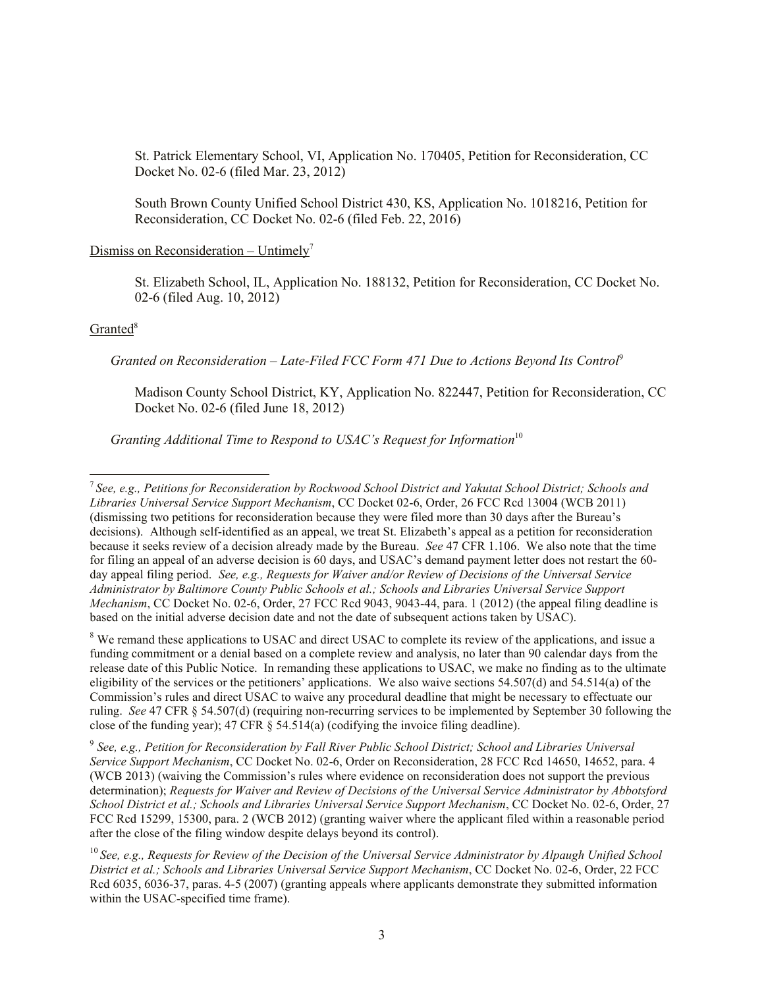St. Patrick Elementary School, VI, Application No. 170405, Petition for Reconsideration, CC Docket No. 02-6 (filed Mar. 23, 2012)

South Brown County Unified School District 430, KS, Application No. 1018216, Petition for Reconsideration, CC Docket No. 02-6 (filed Feb. 22, 2016)

#### Dismiss on Reconsideration – Untimely<sup>7</sup>

St. Elizabeth School, IL, Application No. 188132, Petition for Reconsideration, CC Docket No. 02-6 (filed Aug. 10, 2012)

### Granted<sup>8</sup>

 *Granted on Reconsideration – Late-Filed FCC Form 471 Due to Actions Beyond Its Control*<sup>9</sup>

Madison County School District, KY, Application No. 822447, Petition for Reconsideration, CC Docket No. 02-6 (filed June 18, 2012)

*Granting Additional Time to Respond to USAC's Request for Information*<sup>10</sup>

<sup>8</sup> We remand these applications to USAC and direct USAC to complete its review of the applications, and issue a funding commitment or a denial based on a complete review and analysis, no later than 90 calendar days from the release date of this Public Notice. In remanding these applications to USAC, we make no finding as to the ultimate eligibility of the services or the petitioners' applications. We also waive sections 54.507(d) and 54.514(a) of the Commission's rules and direct USAC to waive any procedural deadline that might be necessary to effectuate our ruling. *See* 47 CFR § 54.507(d) (requiring non-recurring services to be implemented by September 30 following the close of the funding year);  $47 \text{ CFR } \S$  54.514(a) (codifying the invoice filing deadline).

9 *See, e.g., Petition for Reconsideration by Fall River Public School District; School and Libraries Universal Service Support Mechanism*, CC Docket No. 02-6, Order on Reconsideration, 28 FCC Rcd 14650, 14652, para. 4 (WCB 2013) (waiving the Commission's rules where evidence on reconsideration does not support the previous determination); *Requests for Waiver and Review of Decisions of the Universal Service Administrator by Abbotsford School District et al.; Schools and Libraries Universal Service Support Mechanism*, CC Docket No. 02-6, Order, 27 FCC Rcd 15299, 15300, para. 2 (WCB 2012) (granting waiver where the applicant filed within a reasonable period after the close of the filing window despite delays beyond its control).

 7 *See, e.g., Petitions for Reconsideration by Rockwood School District and Yakutat School District; Schools and Libraries Universal Service Support Mechanism*, CC Docket 02-6, Order, 26 FCC Rcd 13004 (WCB 2011) (dismissing two petitions for reconsideration because they were filed more than 30 days after the Bureau's decisions). Although self-identified as an appeal, we treat St. Elizabeth's appeal as a petition for reconsideration because it seeks review of a decision already made by the Bureau. *See* 47 CFR 1.106.We also note that the time for filing an appeal of an adverse decision is 60 days, and USAC's demand payment letter does not restart the 60 day appeal filing period. *See, e.g., Requests for Waiver and/or Review of Decisions of the Universal Service Administrator by Baltimore County Public Schools et al.; Schools and Libraries Universal Service Support Mechanism*, CC Docket No. 02-6, Order, 27 FCC Rcd 9043, 9043-44, para. 1 (2012) (the appeal filing deadline is based on the initial adverse decision date and not the date of subsequent actions taken by USAC).

<sup>10</sup> *See, e.g., Requests for Review of the Decision of the Universal Service Administrator by Alpaugh Unified School District et al.; Schools and Libraries Universal Service Support Mechanism*, CC Docket No. 02-6, Order, 22 FCC Rcd 6035, 6036-37, paras. 4-5 (2007) (granting appeals where applicants demonstrate they submitted information within the USAC-specified time frame).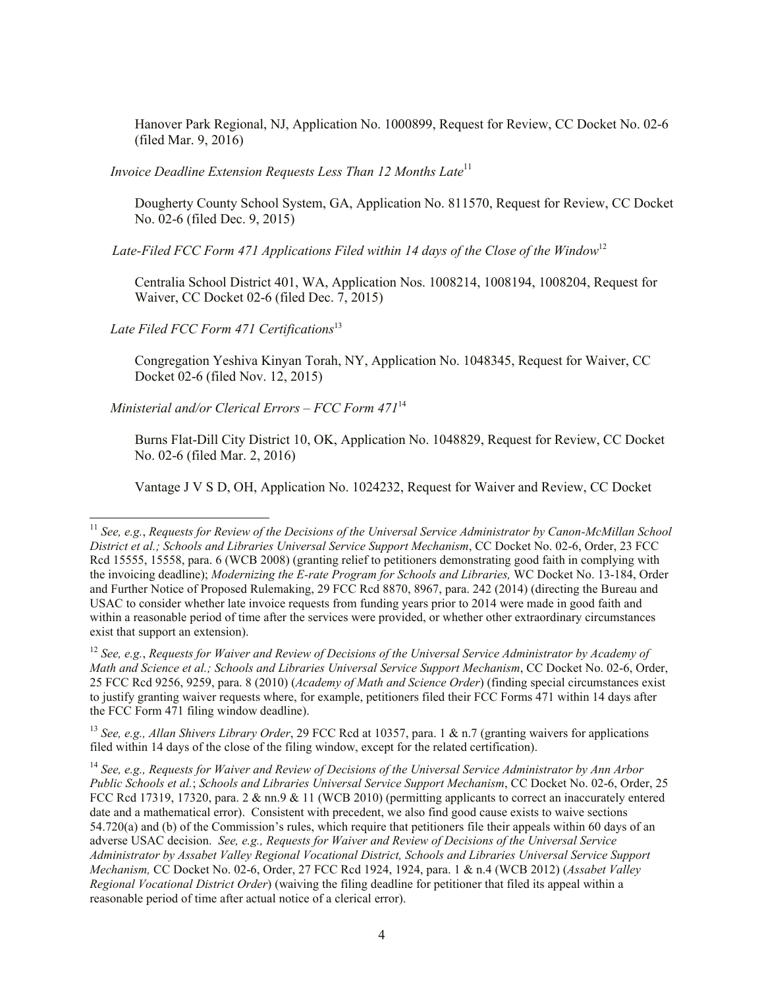Hanover Park Regional, NJ, Application No. 1000899, Request for Review, CC Docket No. 02-6 (filed Mar. 9, 2016)

*Invoice Deadline Extension Requests Less Than 12 Months Late*<sup>11</sup>

Dougherty County School System, GA, Application No. 811570, Request for Review, CC Docket No. 02-6 (filed Dec. 9, 2015)

 *Late-Filed FCC Form 471 Applications Filed within 14 days of the Close of the Window*<sup>12</sup>

Centralia School District 401, WA, Application Nos. 1008214, 1008194, 1008204, Request for Waiver, CC Docket 02-6 (filed Dec. 7, 2015)

Late Filed FCC Form 471 Certifications<sup>13</sup>

 $\overline{a}$ 

Congregation Yeshiva Kinyan Torah, NY, Application No. 1048345, Request for Waiver, CC Docket 02-6 (filed Nov. 12, 2015)

 *Ministerial and/or Clerical Errors – FCC Form 471*<sup>14</sup>

Burns Flat-Dill City District 10, OK, Application No. 1048829, Request for Review, CC Docket No. 02-6 (filed Mar. 2, 2016)

Vantage J V S D, OH, Application No. 1024232, Request for Waiver and Review, CC Docket

<sup>12</sup> *See, e.g.*, *Requests for Waiver and Review of Decisions of the Universal Service Administrator by Academy of Math and Science et al.; Schools and Libraries Universal Service Support Mechanism*, CC Docket No. 02-6, Order, 25 FCC Rcd 9256, 9259, para. 8 (2010) (*Academy of Math and Science Order*) (finding special circumstances exist to justify granting waiver requests where, for example, petitioners filed their FCC Forms 471 within 14 days after the FCC Form 471 filing window deadline).

<sup>13</sup> *See, e.g., Allan Shivers Library Order*, 29 FCC Rcd at 10357, para. 1 & n.7 (granting waivers for applications filed within 14 days of the close of the filing window, except for the related certification).

<sup>11</sup> *See, e.g.*, *Requests for Review of the Decisions of the Universal Service Administrator by Canon-McMillan School District et al.; Schools and Libraries Universal Service Support Mechanism*, CC Docket No. 02-6, Order, 23 FCC Rcd 15555, 15558, para. 6 (WCB 2008) (granting relief to petitioners demonstrating good faith in complying with the invoicing deadline); *Modernizing the E-rate Program for Schools and Libraries,* WC Docket No. 13-184, Order and Further Notice of Proposed Rulemaking, 29 FCC Rcd 8870, 8967, para. 242 (2014) (directing the Bureau and USAC to consider whether late invoice requests from funding years prior to 2014 were made in good faith and within a reasonable period of time after the services were provided, or whether other extraordinary circumstances exist that support an extension).

<sup>14</sup> *See, e.g., Requests for Waiver and Review of Decisions of the Universal Service Administrator by Ann Arbor Public Schools et al.*; *Schools and Libraries Universal Service Support Mechanism*, CC Docket No. 02-6, Order, 25 FCC Rcd 17319, 17320, para. 2 & nn.9 & 11 (WCB 2010) (permitting applicants to correct an inaccurately entered date and a mathematical error). Consistent with precedent, we also find good cause exists to waive sections 54.720(a) and (b) of the Commission's rules, which require that petitioners file their appeals within 60 days of an adverse USAC decision. *See, e.g., Requests for Waiver and Review of Decisions of the Universal Service Administrator by Assabet Valley Regional Vocational District, Schools and Libraries Universal Service Support Mechanism,* CC Docket No. 02-6, Order, 27 FCC Rcd 1924, 1924, para. 1 & n.4 (WCB 2012) (*Assabet Valley Regional Vocational District Order*) (waiving the filing deadline for petitioner that filed its appeal within a reasonable period of time after actual notice of a clerical error).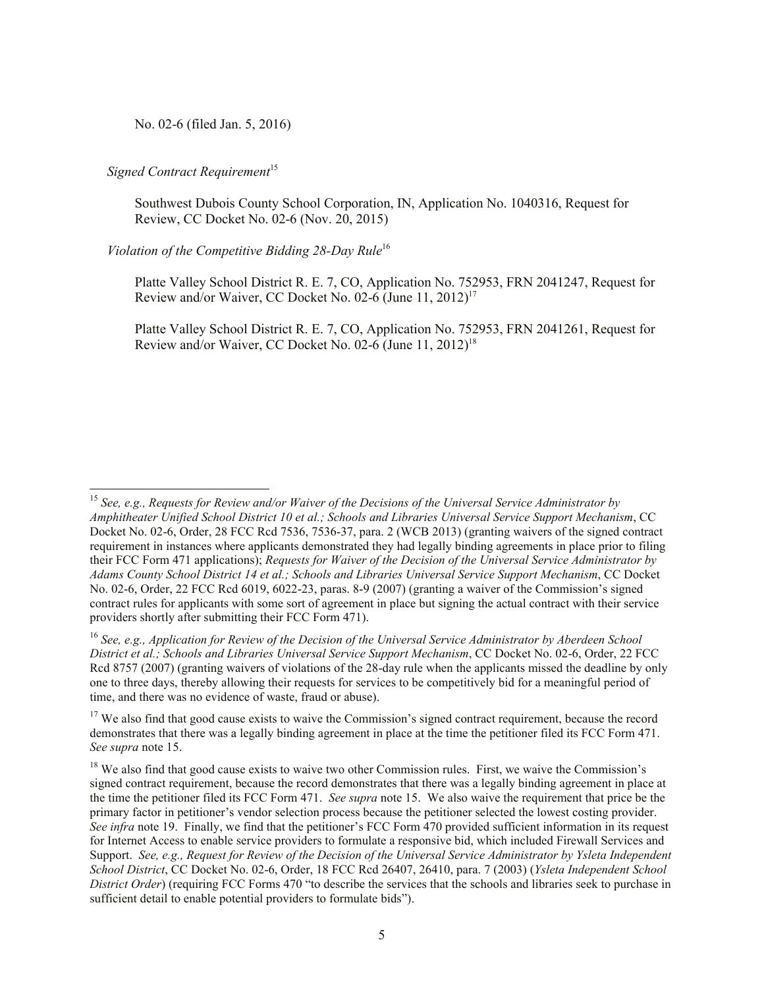No. 02-6 (filed Jan. 5, 2016)

## *Signed Contract Requirement*<sup>15</sup>

 $\overline{\phantom{a}}$ 

Southwest Dubois County School Corporation, IN, Application No. 1040316, Request for Review, CC Docket No. 02-6 (Nov. 20, 2015)

# *Violation of the Competitive Bidding 28-Day Rule*<sup>16</sup>

Platte Valley School District R. E. 7, CO, Application No. 752953, FRN 2041247, Request for Review and/or Waiver, CC Docket No. 02-6 (June  $11, 2012$ )<sup>17</sup>

Platte Valley School District R. E. 7, CO, Application No. 752953, FRN 2041261, Request for Review and/or Waiver, CC Docket No. 02-6 (June  $11, 2012$ )<sup>18</sup>

<sup>15</sup> *See, e.g., Requests for Review and/or Waiver of the Decisions of the Universal Service Administrator by Amphitheater Unified School District 10 et al.; Schools and Libraries Universal Service Support Mechanism*, CC Docket No. 02-6, Order, 28 FCC Rcd 7536, 7536-37, para. 2 (WCB 2013) (granting waivers of the signed contract requirement in instances where applicants demonstrated they had legally binding agreements in place prior to filing their FCC Form 471 applications); *Requests for Waiver of the Decision of the Universal Service Administrator by Adams County School District 14 et al.; Schools and Libraries Universal Service Support Mechanism*, CC Docket No. 02-6, Order, 22 FCC Rcd 6019, 6022-23, paras. 8-9 (2007) (granting a waiver of the Commission's signed contract rules for applicants with some sort of agreement in place but signing the actual contract with their service providers shortly after submitting their FCC Form 471).

<sup>16</sup> *See, e.g., Application for Review of the Decision of the Universal Service Administrator by Aberdeen School District et al.; Schools and Libraries Universal Service Support Mechanism*, CC Docket No. 02-6, Order, 22 FCC Rcd 8757 (2007) (granting waivers of violations of the 28-day rule when the applicants missed the deadline by only one to three days, thereby allowing their requests for services to be competitively bid for a meaningful period of time, and there was no evidence of waste, fraud or abuse).

 $17$  We also find that good cause exists to waive the Commission's signed contract requirement, because the record demonstrates that there was a legally binding agreement in place at the time the petitioner filed its FCC Form 471. *See supra* note 15.

<sup>&</sup>lt;sup>18</sup> We also find that good cause exists to waive two other Commission rules. First, we waive the Commission's signed contract requirement, because the record demonstrates that there was a legally binding agreement in place at the time the petitioner filed its FCC Form 471. *See supra* note 15. We also waive the requirement that price be the primary factor in petitioner's vendor selection process because the petitioner selected the lowest costing provider. *See infra* note 19. Finally, we find that the petitioner's FCC Form 470 provided sufficient information in its request for Internet Access to enable service providers to formulate a responsive bid, which included Firewall Services and Support. *See, e.g., Request for Review of the Decision of the Universal Service Administrator by Ysleta Independent School District*, CC Docket No. 02-6, Order, 18 FCC Rcd 26407, 26410, para. 7 (2003) (*Ysleta Independent School District Order*) (requiring FCC Forms 470 "to describe the services that the schools and libraries seek to purchase in sufficient detail to enable potential providers to formulate bids").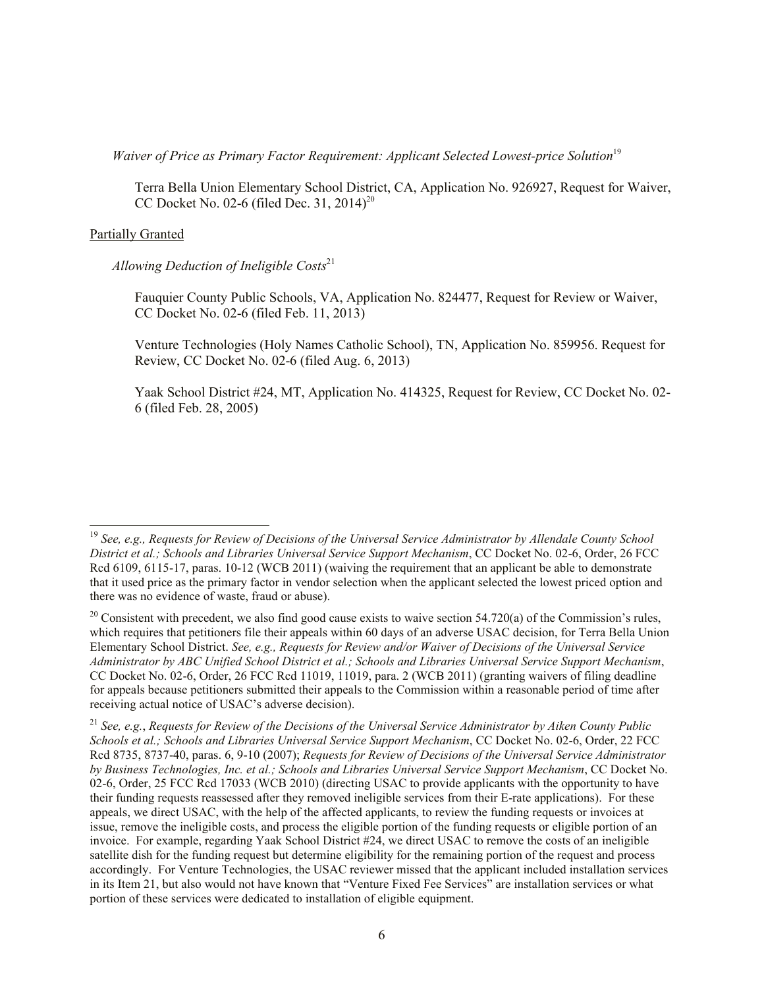*Waiver of Price as Primary Factor Requirement: Applicant Selected Lowest-price Solution*<sup>19</sup>

Terra Bella Union Elementary School District, CA, Application No. 926927, Request for Waiver, CC Docket No. 02-6 (filed Dec. 31, 2014)<sup>20</sup>

### Partially Granted

 $\overline{a}$ 

#### *Allowing Deduction of Ineligible Costs*<sup>21</sup>

Fauquier County Public Schools, VA, Application No. 824477, Request for Review or Waiver, CC Docket No. 02-6 (filed Feb. 11, 2013)

Venture Technologies (Holy Names Catholic School), TN, Application No. 859956. Request for Review, CC Docket No. 02-6 (filed Aug. 6, 2013)

Yaak School District #24, MT, Application No. 414325, Request for Review, CC Docket No. 02- 6 (filed Feb. 28, 2005)

<sup>19</sup> *See, e.g., Requests for Review of Decisions of the Universal Service Administrator by Allendale County School District et al.; Schools and Libraries Universal Service Support Mechanism*, CC Docket No. 02-6, Order, 26 FCC Rcd 6109, 6115-17, paras. 10-12 (WCB 2011) (waiving the requirement that an applicant be able to demonstrate that it used price as the primary factor in vendor selection when the applicant selected the lowest priced option and there was no evidence of waste, fraud or abuse).

 $20$  Consistent with precedent, we also find good cause exists to waive section 54.720(a) of the Commission's rules, which requires that petitioners file their appeals within 60 days of an adverse USAC decision, for Terra Bella Union Elementary School District. *See, e.g., Requests for Review and/or Waiver of Decisions of the Universal Service Administrator by ABC Unified School District et al.; Schools and Libraries Universal Service Support Mechanism*, CC Docket No. 02-6, Order, 26 FCC Rcd 11019, 11019, para. 2 (WCB 2011) (granting waivers of filing deadline for appeals because petitioners submitted their appeals to the Commission within a reasonable period of time after receiving actual notice of USAC's adverse decision).

<sup>21</sup> *See, e.g.*, *Requests for Review of the Decisions of the Universal Service Administrator by Aiken County Public Schools et al.; Schools and Libraries Universal Service Support Mechanism*, CC Docket No. 02-6, Order, 22 FCC Rcd 8735, 8737-40, paras. 6, 9-10 (2007); *Requests for Review of Decisions of the Universal Service Administrator by Business Technologies, Inc. et al.; Schools and Libraries Universal Service Support Mechanism*, CC Docket No. 02-6, Order, 25 FCC Rcd 17033 (WCB 2010) (directing USAC to provide applicants with the opportunity to have their funding requests reassessed after they removed ineligible services from their E-rate applications). For these appeals, we direct USAC, with the help of the affected applicants, to review the funding requests or invoices at issue, remove the ineligible costs, and process the eligible portion of the funding requests or eligible portion of an invoice. For example, regarding Yaak School District #24, we direct USAC to remove the costs of an ineligible satellite dish for the funding request but determine eligibility for the remaining portion of the request and process accordingly. For Venture Technologies, the USAC reviewer missed that the applicant included installation services in its Item 21, but also would not have known that "Venture Fixed Fee Services" are installation services or what portion of these services were dedicated to installation of eligible equipment.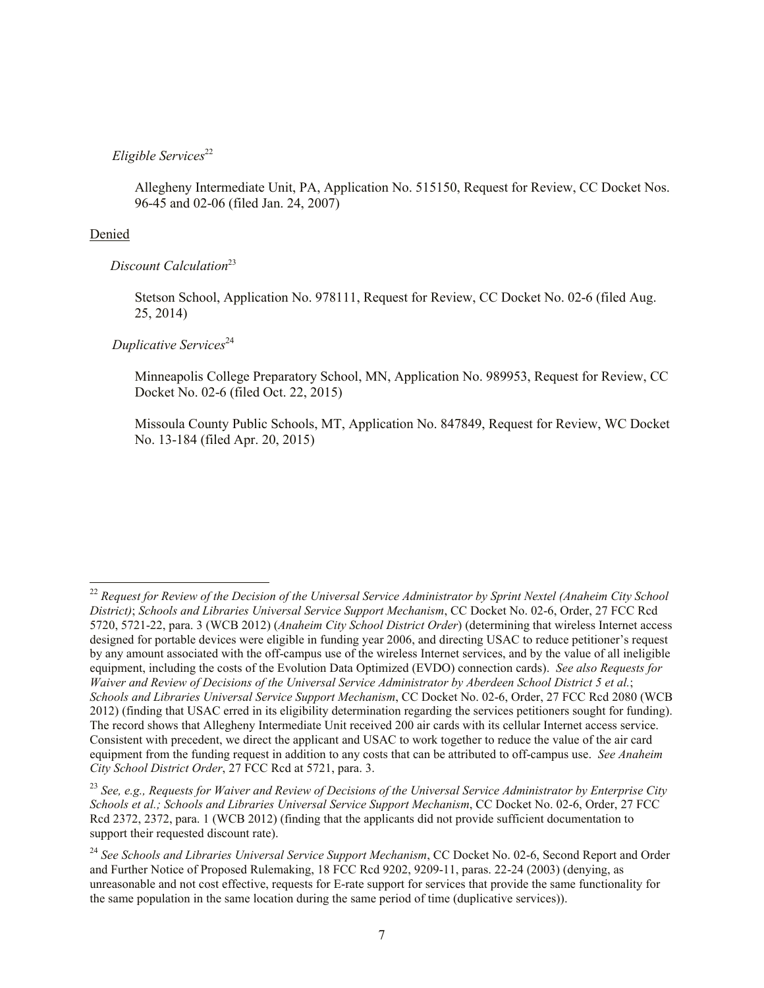# *Eligible Services*<sup>22</sup>

Allegheny Intermediate Unit, PA, Application No. 515150, Request for Review, CC Docket Nos. 96-45 and 02-06 (filed Jan. 24, 2007)

### Denied

 $\overline{\phantom{a}}$ 

### *Discount Calculation*<sup>23</sup>

Stetson School, Application No. 978111, Request for Review, CC Docket No. 02-6 (filed Aug. 25, 2014)

*Duplicative Services*<sup>24</sup>

Minneapolis College Preparatory School, MN, Application No. 989953, Request for Review, CC Docket No. 02-6 (filed Oct. 22, 2015)

Missoula County Public Schools, MT, Application No. 847849, Request for Review, WC Docket No. 13-184 (filed Apr. 20, 2015)

<sup>&</sup>lt;sup>22</sup> Request for Review of the Decision of the Universal Service Administrator by Sprint Nextel (Anaheim City School *District)*; *Schools and Libraries Universal Service Support Mechanism*, CC Docket No. 02-6, Order, 27 FCC Rcd 5720, 5721-22, para. 3 (WCB 2012) (*Anaheim City School District Order*) (determining that wireless Internet access designed for portable devices were eligible in funding year 2006, and directing USAC to reduce petitioner's request by any amount associated with the off-campus use of the wireless Internet services, and by the value of all ineligible equipment, including the costs of the Evolution Data Optimized (EVDO) connection cards). *See also Requests for Waiver and Review of Decisions of the Universal Service Administrator by Aberdeen School District 5 et al.*; *Schools and Libraries Universal Service Support Mechanism*, CC Docket No. 02-6, Order, 27 FCC Rcd 2080 (WCB 2012) (finding that USAC erred in its eligibility determination regarding the services petitioners sought for funding). The record shows that Allegheny Intermediate Unit received 200 air cards with its cellular Internet access service. Consistent with precedent, we direct the applicant and USAC to work together to reduce the value of the air card equipment from the funding request in addition to any costs that can be attributed to off-campus use. *See Anaheim City School District Order*, 27 FCC Rcd at 5721, para. 3.

<sup>23</sup> *See, e.g., Requests for Waiver and Review of Decisions of the Universal Service Administrator by Enterprise City Schools et al.; Schools and Libraries Universal Service Support Mechanism*, CC Docket No. 02-6, Order, 27 FCC Rcd 2372, 2372, para. 1 (WCB 2012) (finding that the applicants did not provide sufficient documentation to support their requested discount rate).

<sup>&</sup>lt;sup>24</sup> See Schools and Libraries Universal Service Support Mechanism, CC Docket No. 02-6, Second Report and Order and Further Notice of Proposed Rulemaking, 18 FCC Rcd 9202, 9209-11, paras. 22-24 (2003) (denying, as unreasonable and not cost effective, requests for E-rate support for services that provide the same functionality for the same population in the same location during the same period of time (duplicative services)).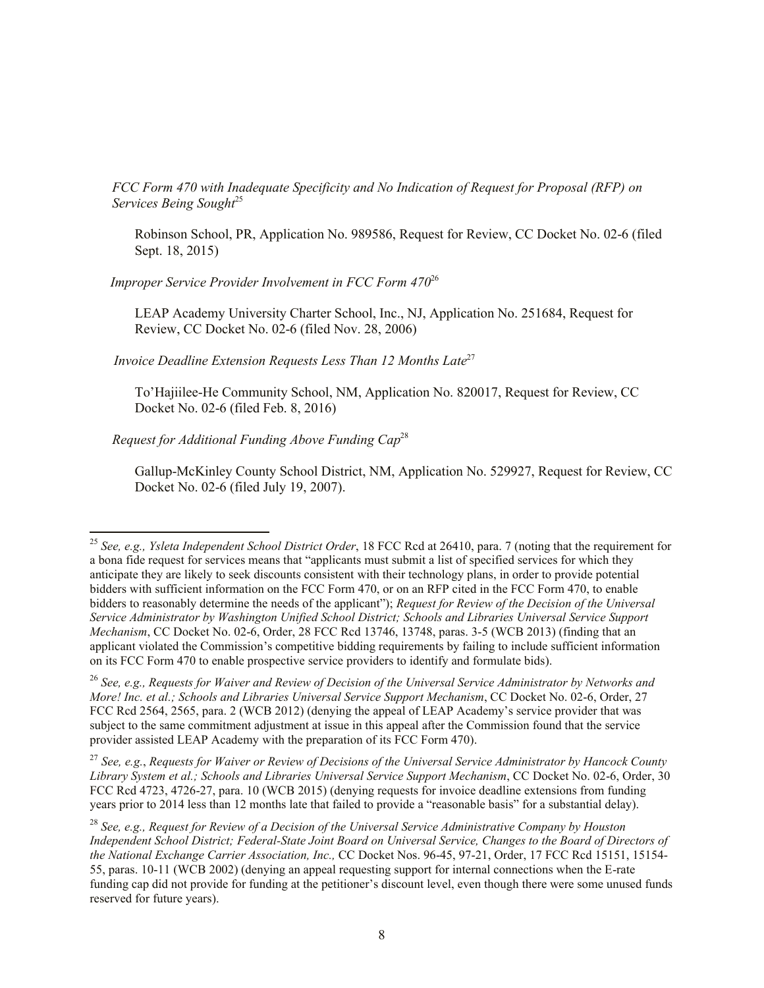*FCC Form 470 with Inadequate Specificity and No Indication of Request for Proposal (RFP) on Services Being Sought*<sup>25</sup>

Robinson School, PR, Application No. 989586, Request for Review, CC Docket No. 02-6 (filed Sept. 18, 2015)

 *Improper Service Provider Involvement in FCC Form 470*<sup>26</sup>

LEAP Academy University Charter School, Inc., NJ, Application No. 251684, Request for Review, CC Docket No. 02-6 (filed Nov. 28, 2006)

*Invoice Deadline Extension Requests Less Than 12 Months Late*<sup>27</sup>

To'Hajiilee-He Community School, NM, Application No. 820017, Request for Review, CC Docket No. 02-6 (filed Feb. 8, 2016)

*Request for Additional Funding Above Funding Cap*<sup>28</sup>

 $\overline{\phantom{a}}$ 

Gallup-McKinley County School District, NM, Application No. 529927, Request for Review, CC Docket No. 02-6 (filed July 19, 2007).

<sup>27</sup> *See, e.g.*, *Requests for Waiver or Review of Decisions of the Universal Service Administrator by Hancock County Library System et al.; Schools and Libraries Universal Service Support Mechanism*, CC Docket No. 02-6, Order, 30 FCC Rcd 4723, 4726-27, para. 10 (WCB 2015) (denying requests for invoice deadline extensions from funding years prior to 2014 less than 12 months late that failed to provide a "reasonable basis" for a substantial delay).

<sup>25</sup> *See, e.g., Ysleta Independent School District Order*, 18 FCC Rcd at 26410, para. 7 (noting that the requirement for a bona fide request for services means that "applicants must submit a list of specified services for which they anticipate they are likely to seek discounts consistent with their technology plans, in order to provide potential bidders with sufficient information on the FCC Form 470, or on an RFP cited in the FCC Form 470, to enable bidders to reasonably determine the needs of the applicant"); *Request for Review of the Decision of the Universal Service Administrator by Washington Unified School District; Schools and Libraries Universal Service Support Mechanism*, CC Docket No. 02-6, Order, 28 FCC Rcd 13746, 13748, paras. 3-5 (WCB 2013) (finding that an applicant violated the Commission's competitive bidding requirements by failing to include sufficient information on its FCC Form 470 to enable prospective service providers to identify and formulate bids).

<sup>26</sup> *See, e.g., Requests for Waiver and Review of Decision of the Universal Service Administrator by Networks and More! Inc. et al.; Schools and Libraries Universal Service Support Mechanism*, CC Docket No. 02-6, Order, 27 FCC Rcd 2564, 2565, para. 2 (WCB 2012) (denying the appeal of LEAP Academy's service provider that was subject to the same commitment adjustment at issue in this appeal after the Commission found that the service provider assisted LEAP Academy with the preparation of its FCC Form 470).

<sup>28</sup> *See, e.g., Request for Review of a Decision of the Universal Service Administrative Company by Houston Independent School District; Federal-State Joint Board on Universal Service, Changes to the Board of Directors of the National Exchange Carrier Association, Inc.,* CC Docket Nos. 96-45, 97-21, Order, 17 FCC Rcd 15151, 15154- 55, paras. 10-11 (WCB 2002) (denying an appeal requesting support for internal connections when the E-rate funding cap did not provide for funding at the petitioner's discount level, even though there were some unused funds reserved for future years).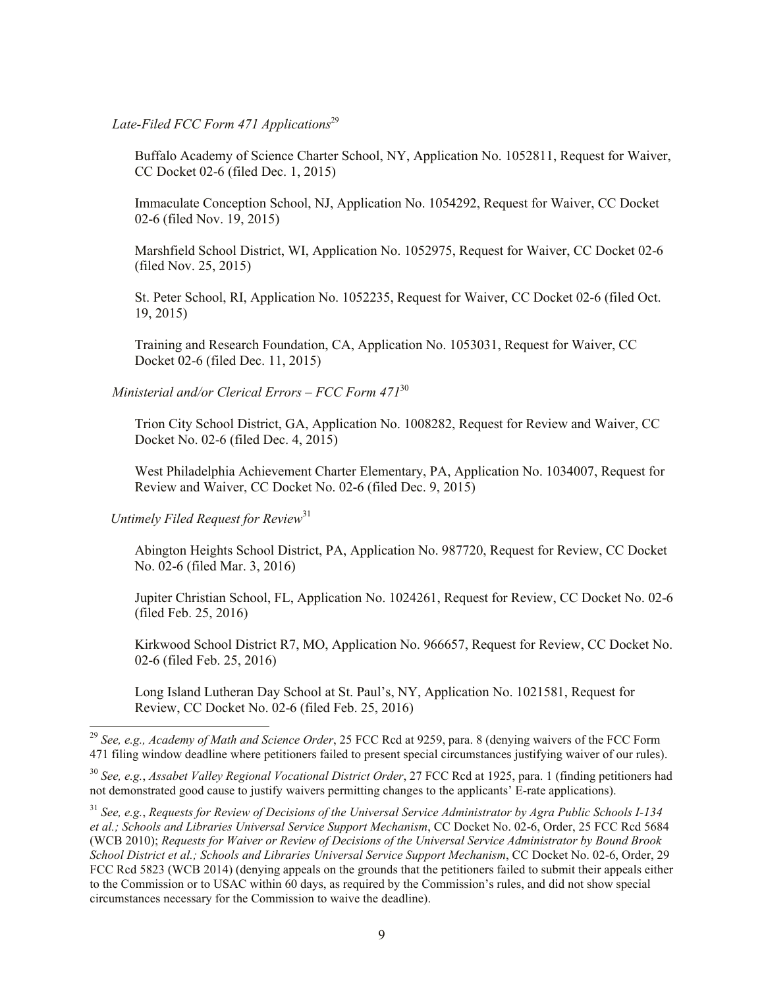Late-Filed FCC Form 471 Applications<sup>29</sup>

Buffalo Academy of Science Charter School, NY, Application No. 1052811, Request for Waiver, CC Docket 02-6 (filed Dec. 1, 2015)

Immaculate Conception School, NJ, Application No. 1054292, Request for Waiver, CC Docket 02-6 (filed Nov. 19, 2015)

Marshfield School District, WI, Application No. 1052975, Request for Waiver, CC Docket 02-6 (filed Nov. 25, 2015)

St. Peter School, RI, Application No. 1052235, Request for Waiver, CC Docket 02-6 (filed Oct. 19, 2015)

Training and Research Foundation, CA, Application No. 1053031, Request for Waiver, CC Docket 02-6 (filed Dec. 11, 2015)

*Ministerial and/or Clerical Errors – FCC Form 471*<sup>30</sup>

Trion City School District, GA, Application No. 1008282, Request for Review and Waiver, CC Docket No. 02-6 (filed Dec. 4, 2015)

West Philadelphia Achievement Charter Elementary, PA, Application No. 1034007, Request for Review and Waiver, CC Docket No. 02-6 (filed Dec. 9, 2015)

 *Untimely Filed Request for Review*<sup>31</sup>

l

Abington Heights School District, PA, Application No. 987720, Request for Review, CC Docket No. 02-6 (filed Mar. 3, 2016)

Jupiter Christian School, FL, Application No. 1024261, Request for Review, CC Docket No. 02-6 (filed Feb. 25, 2016)

Kirkwood School District R7, MO, Application No. 966657, Request for Review, CC Docket No. 02-6 (filed Feb. 25, 2016)

Long Island Lutheran Day School at St. Paul's, NY, Application No. 1021581, Request for Review, CC Docket No. 02-6 (filed Feb. 25, 2016)

<sup>29</sup> *See, e.g., Academy of Math and Science Order*, 25 FCC Rcd at 9259, para. 8 (denying waivers of the FCC Form 471 filing window deadline where petitioners failed to present special circumstances justifying waiver of our rules).

<sup>30</sup> *See, e.g.*, *Assabet Valley Regional Vocational District Order*, 27 FCC Rcd at 1925, para. 1 (finding petitioners had not demonstrated good cause to justify waivers permitting changes to the applicants' E-rate applications).

<sup>31</sup> *See, e.g.*, *Requests for Review of Decisions of the Universal Service Administrator by Agra Public Schools I-134 et al.; Schools and Libraries Universal Service Support Mechanism*, CC Docket No. 02-6, Order, 25 FCC Rcd 5684 (WCB 2010); *Requests for Waiver or Review of Decisions of the Universal Service Administrator by Bound Brook School District et al.; Schools and Libraries Universal Service Support Mechanism*, CC Docket No. 02-6, Order, 29 FCC Rcd 5823 (WCB 2014) (denying appeals on the grounds that the petitioners failed to submit their appeals either to the Commission or to USAC within 60 days, as required by the Commission's rules, and did not show special circumstances necessary for the Commission to waive the deadline).